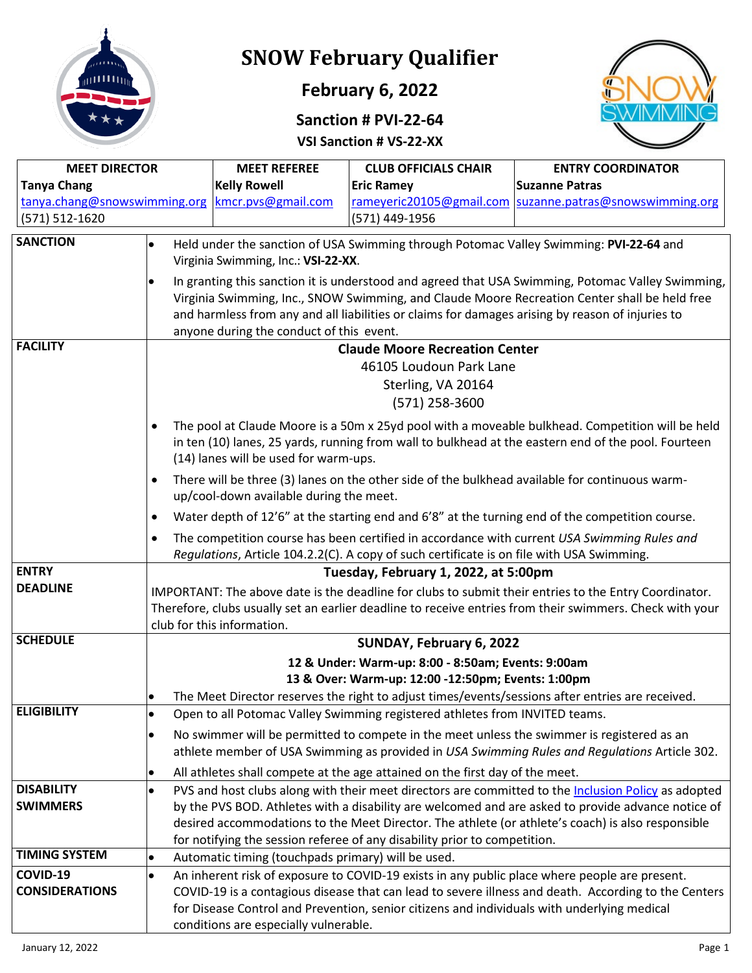

# **SNOW February Qualifier**

## **February 6, 2022**

### **Sanction # PVI-22-64**



**VSI Sanction # VS-22-XX**

| <b>MEET DIRECTOR</b>  |                                                                                                                                                                                                       | <b>MEET REFEREE</b>                                                                                                                                                                               | <b>CLUB OFFICIALS CHAIR</b>                                                  | <b>ENTRY COORDINATOR</b>                                                                            |  |  |
|-----------------------|-------------------------------------------------------------------------------------------------------------------------------------------------------------------------------------------------------|---------------------------------------------------------------------------------------------------------------------------------------------------------------------------------------------------|------------------------------------------------------------------------------|-----------------------------------------------------------------------------------------------------|--|--|
| <b>Tanya Chang</b>    |                                                                                                                                                                                                       | <b>Kelly Rowell</b>                                                                                                                                                                               | <b>Eric Ramey</b>                                                            | <b>Suzanne Patras</b>                                                                               |  |  |
|                       |                                                                                                                                                                                                       | tanya.chang@snowswimming.org   kmcr.pvs@gmail.com                                                                                                                                                 |                                                                              | rameyeric20105@gmail.com  suzanne.patras@snowswimming.org                                           |  |  |
| (571) 512-1620        |                                                                                                                                                                                                       |                                                                                                                                                                                                   | (571) 449-1956                                                               |                                                                                                     |  |  |
| <b>SANCTION</b>       |                                                                                                                                                                                                       |                                                                                                                                                                                                   |                                                                              | Held under the sanction of USA Swimming through Potomac Valley Swimming: PVI-22-64 and              |  |  |
|                       |                                                                                                                                                                                                       | Virginia Swimming, Inc.: VSI-22-XX.                                                                                                                                                               |                                                                              |                                                                                                     |  |  |
|                       | In granting this sanction it is understood and agreed that USA Swimming, Potomac Valley Swimming,                                                                                                     |                                                                                                                                                                                                   |                                                                              |                                                                                                     |  |  |
|                       |                                                                                                                                                                                                       | Virginia Swimming, Inc., SNOW Swimming, and Claude Moore Recreation Center shall be held free<br>and harmless from any and all liabilities or claims for damages arising by reason of injuries to |                                                                              |                                                                                                     |  |  |
|                       |                                                                                                                                                                                                       | anyone during the conduct of this event.                                                                                                                                                          |                                                                              |                                                                                                     |  |  |
| <b>FACILITY</b>       | <b>Claude Moore Recreation Center</b>                                                                                                                                                                 |                                                                                                                                                                                                   |                                                                              |                                                                                                     |  |  |
|                       | 46105 Loudoun Park Lane                                                                                                                                                                               |                                                                                                                                                                                                   |                                                                              |                                                                                                     |  |  |
|                       |                                                                                                                                                                                                       |                                                                                                                                                                                                   | Sterling, VA 20164                                                           |                                                                                                     |  |  |
|                       | (571) 258-3600                                                                                                                                                                                        |                                                                                                                                                                                                   |                                                                              |                                                                                                     |  |  |
|                       | The pool at Claude Moore is a 50m x 25yd pool with a moveable bulkhead. Competition will be held                                                                                                      |                                                                                                                                                                                                   |                                                                              |                                                                                                     |  |  |
|                       | in ten (10) lanes, 25 yards, running from wall to bulkhead at the eastern end of the pool. Fourteen                                                                                                   |                                                                                                                                                                                                   |                                                                              |                                                                                                     |  |  |
|                       |                                                                                                                                                                                                       | (14) lanes will be used for warm-ups.                                                                                                                                                             |                                                                              |                                                                                                     |  |  |
|                       |                                                                                                                                                                                                       | There will be three (3) lanes on the other side of the bulkhead available for continuous warm-<br>up/cool-down available during the meet.                                                         |                                                                              |                                                                                                     |  |  |
|                       |                                                                                                                                                                                                       | Water depth of 12'6" at the starting end and 6'8" at the turning end of the competition course.                                                                                                   |                                                                              |                                                                                                     |  |  |
|                       | ٠                                                                                                                                                                                                     | The competition course has been certified in accordance with current USA Swimming Rules and                                                                                                       |                                                                              |                                                                                                     |  |  |
|                       | $\bullet$                                                                                                                                                                                             | Regulations, Article 104.2.2(C). A copy of such certificate is on file with USA Swimming.                                                                                                         |                                                                              |                                                                                                     |  |  |
| <b>ENTRY</b>          | Tuesday, February 1, 2022, at 5:00pm                                                                                                                                                                  |                                                                                                                                                                                                   |                                                                              |                                                                                                     |  |  |
| <b>DEADLINE</b>       |                                                                                                                                                                                                       | IMPORTANT: The above date is the deadline for clubs to submit their entries to the Entry Coordinator.                                                                                             |                                                                              |                                                                                                     |  |  |
|                       |                                                                                                                                                                                                       | Therefore, clubs usually set an earlier deadline to receive entries from their swimmers. Check with your                                                                                          |                                                                              |                                                                                                     |  |  |
|                       | club for this information.                                                                                                                                                                            |                                                                                                                                                                                                   |                                                                              |                                                                                                     |  |  |
| <b>SCHEDULE</b>       | SUNDAY, February 6, 2022                                                                                                                                                                              |                                                                                                                                                                                                   |                                                                              |                                                                                                     |  |  |
|                       | 12 & Under: Warm-up: 8:00 - 8:50am; Events: 9:00am                                                                                                                                                    |                                                                                                                                                                                                   |                                                                              |                                                                                                     |  |  |
|                       |                                                                                                                                                                                                       |                                                                                                                                                                                                   | 13 & Over: Warm-up: 12:00 -12:50pm; Events: 1:00pm                           | The Meet Director reserves the right to adjust times/events/sessions after entries are received.    |  |  |
| <b>ELIGIBILITY</b>    | $\bullet$                                                                                                                                                                                             |                                                                                                                                                                                                   | Open to all Potomac Valley Swimming registered athletes from INVITED teams.  |                                                                                                     |  |  |
|                       | lo                                                                                                                                                                                                    |                                                                                                                                                                                                   |                                                                              | No swimmer will be permitted to compete in the meet unless the swimmer is registered as an          |  |  |
|                       |                                                                                                                                                                                                       |                                                                                                                                                                                                   |                                                                              | athlete member of USA Swimming as provided in USA Swimming Rules and Regulations Article 302.       |  |  |
|                       | $\bullet$                                                                                                                                                                                             |                                                                                                                                                                                                   | All athletes shall compete at the age attained on the first day of the meet. |                                                                                                     |  |  |
| <b>DISABILITY</b>     | $\bullet$                                                                                                                                                                                             |                                                                                                                                                                                                   |                                                                              | PVS and host clubs along with their meet directors are committed to the Inclusion Policy as adopted |  |  |
| <b>SWIMMERS</b>       |                                                                                                                                                                                                       |                                                                                                                                                                                                   |                                                                              | by the PVS BOD. Athletes with a disability are welcomed and are asked to provide advance notice of  |  |  |
|                       |                                                                                                                                                                                                       |                                                                                                                                                                                                   |                                                                              | desired accommodations to the Meet Director. The athlete (or athlete's coach) is also responsible   |  |  |
| <b>TIMING SYSTEM</b>  |                                                                                                                                                                                                       |                                                                                                                                                                                                   | for notifying the session referee of any disability prior to competition.    |                                                                                                     |  |  |
| COVID-19              | $\bullet$<br>$\bullet$                                                                                                                                                                                | Automatic timing (touchpads primary) will be used.                                                                                                                                                |                                                                              |                                                                                                     |  |  |
| <b>CONSIDERATIONS</b> | An inherent risk of exposure to COVID-19 exists in any public place where people are present.<br>COVID-19 is a contagious disease that can lead to severe illness and death. According to the Centers |                                                                                                                                                                                                   |                                                                              |                                                                                                     |  |  |
|                       | for Disease Control and Prevention, senior citizens and individuals with underlying medical                                                                                                           |                                                                                                                                                                                                   |                                                                              |                                                                                                     |  |  |
|                       |                                                                                                                                                                                                       | conditions are especially vulnerable.                                                                                                                                                             |                                                                              |                                                                                                     |  |  |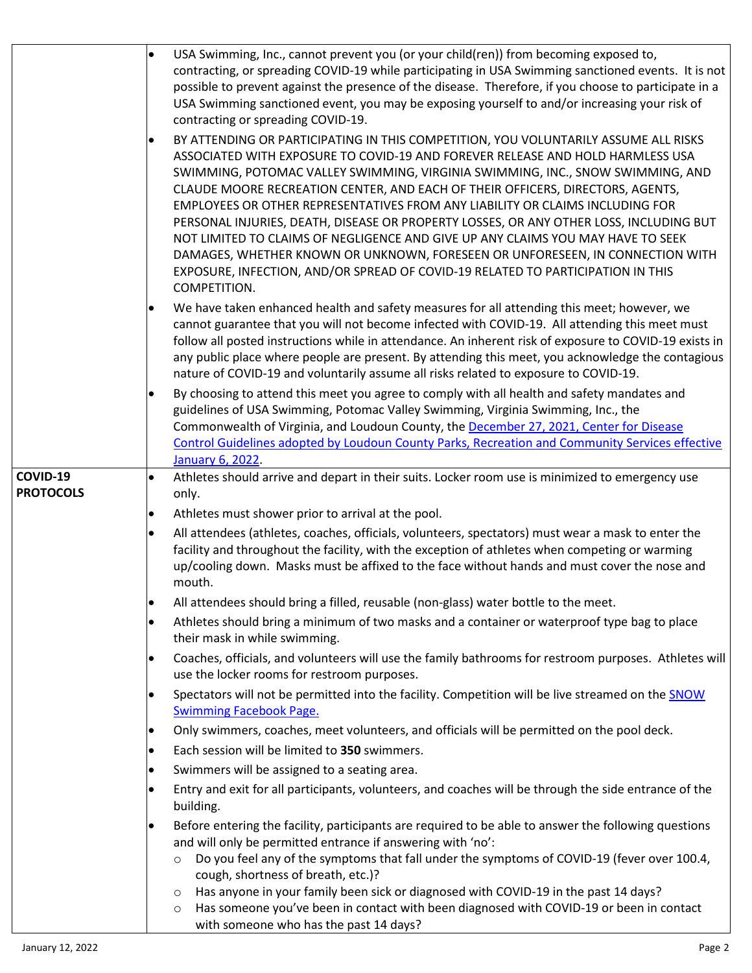|                  | USA Swimming, Inc., cannot prevent you (or your child(ren)) from becoming exposed to,<br>contracting, or spreading COVID-19 while participating in USA Swimming sanctioned events. It is not<br>possible to prevent against the presence of the disease. Therefore, if you choose to participate in a<br>USA Swimming sanctioned event, you may be exposing yourself to and/or increasing your risk of<br>contracting or spreading COVID-19.                                                                                                                                                                                                                                                                                                                                                             |
|------------------|----------------------------------------------------------------------------------------------------------------------------------------------------------------------------------------------------------------------------------------------------------------------------------------------------------------------------------------------------------------------------------------------------------------------------------------------------------------------------------------------------------------------------------------------------------------------------------------------------------------------------------------------------------------------------------------------------------------------------------------------------------------------------------------------------------|
|                  | BY ATTENDING OR PARTICIPATING IN THIS COMPETITION, YOU VOLUNTARILY ASSUME ALL RISKS<br>$\bullet$<br>ASSOCIATED WITH EXPOSURE TO COVID-19 AND FOREVER RELEASE AND HOLD HARMLESS USA<br>SWIMMING, POTOMAC VALLEY SWIMMING, VIRGINIA SWIMMING, INC., SNOW SWIMMING, AND<br>CLAUDE MOORE RECREATION CENTER, AND EACH OF THEIR OFFICERS, DIRECTORS, AGENTS,<br>EMPLOYEES OR OTHER REPRESENTATIVES FROM ANY LIABILITY OR CLAIMS INCLUDING FOR<br>PERSONAL INJURIES, DEATH, DISEASE OR PROPERTY LOSSES, OR ANY OTHER LOSS, INCLUDING BUT<br>NOT LIMITED TO CLAIMS OF NEGLIGENCE AND GIVE UP ANY CLAIMS YOU MAY HAVE TO SEEK<br>DAMAGES, WHETHER KNOWN OR UNKNOWN, FORESEEN OR UNFORESEEN, IN CONNECTION WITH<br>EXPOSURE, INFECTION, AND/OR SPREAD OF COVID-19 RELATED TO PARTICIPATION IN THIS<br>COMPETITION. |
|                  | We have taken enhanced health and safety measures for all attending this meet; however, we<br>cannot guarantee that you will not become infected with COVID-19. All attending this meet must<br>follow all posted instructions while in attendance. An inherent risk of exposure to COVID-19 exists in<br>any public place where people are present. By attending this meet, you acknowledge the contagious<br>nature of COVID-19 and voluntarily assume all risks related to exposure to COVID-19.                                                                                                                                                                                                                                                                                                      |
|                  | By choosing to attend this meet you agree to comply with all health and safety mandates and<br>guidelines of USA Swimming, Potomac Valley Swimming, Virginia Swimming, Inc., the<br>Commonwealth of Virginia, and Loudoun County, the December 27, 2021, Center for Disease<br><b>Control Guidelines adopted by Loudoun County Parks, Recreation and Community Services effective</b><br>January 6, 2022.                                                                                                                                                                                                                                                                                                                                                                                                |
| COVID-19         | Athletes should arrive and depart in their suits. Locker room use is minimized to emergency use<br>$\bullet$                                                                                                                                                                                                                                                                                                                                                                                                                                                                                                                                                                                                                                                                                             |
| <b>PROTOCOLS</b> | only.<br>Athletes must shower prior to arrival at the pool.<br>$\bullet$                                                                                                                                                                                                                                                                                                                                                                                                                                                                                                                                                                                                                                                                                                                                 |
|                  | All attendees (athletes, coaches, officials, volunteers, spectators) must wear a mask to enter the                                                                                                                                                                                                                                                                                                                                                                                                                                                                                                                                                                                                                                                                                                       |
|                  | facility and throughout the facility, with the exception of athletes when competing or warming<br>up/cooling down. Masks must be affixed to the face without hands and must cover the nose and<br>mouth.                                                                                                                                                                                                                                                                                                                                                                                                                                                                                                                                                                                                 |
|                  | All attendees should bring a filled, reusable (non-glass) water bottle to the meet.<br>$\bullet$                                                                                                                                                                                                                                                                                                                                                                                                                                                                                                                                                                                                                                                                                                         |
|                  | Athletes should bring a minimum of two masks and a container or waterproof type bag to place<br>their mask in while swimming.                                                                                                                                                                                                                                                                                                                                                                                                                                                                                                                                                                                                                                                                            |
|                  | Coaches, officials, and volunteers will use the family bathrooms for restroom purposes. Athletes will<br>use the locker rooms for restroom purposes.                                                                                                                                                                                                                                                                                                                                                                                                                                                                                                                                                                                                                                                     |
|                  | Spectators will not be permitted into the facility. Competition will be live streamed on the SNOW<br><b>Swimming Facebook Page.</b>                                                                                                                                                                                                                                                                                                                                                                                                                                                                                                                                                                                                                                                                      |
|                  | Only swimmers, coaches, meet volunteers, and officials will be permitted on the pool deck.<br>$\bullet$                                                                                                                                                                                                                                                                                                                                                                                                                                                                                                                                                                                                                                                                                                  |
|                  | Each session will be limited to 350 swimmers.<br>$\bullet$                                                                                                                                                                                                                                                                                                                                                                                                                                                                                                                                                                                                                                                                                                                                               |
|                  | Swimmers will be assigned to a seating area.<br>$\bullet$                                                                                                                                                                                                                                                                                                                                                                                                                                                                                                                                                                                                                                                                                                                                                |
|                  | Entry and exit for all participants, volunteers, and coaches will be through the side entrance of the<br>building.                                                                                                                                                                                                                                                                                                                                                                                                                                                                                                                                                                                                                                                                                       |
|                  | Before entering the facility, participants are required to be able to answer the following questions<br>$\bullet$<br>and will only be permitted entrance if answering with 'no':                                                                                                                                                                                                                                                                                                                                                                                                                                                                                                                                                                                                                         |
|                  | Do you feel any of the symptoms that fall under the symptoms of COVID-19 (fever over 100.4,<br>$\circ$<br>cough, shortness of breath, etc.)?                                                                                                                                                                                                                                                                                                                                                                                                                                                                                                                                                                                                                                                             |
|                  | Has anyone in your family been sick or diagnosed with COVID-19 in the past 14 days?<br>$\circ$<br>Has someone you've been in contact with been diagnosed with COVID-19 or been in contact<br>$\circ$<br>with someone who has the past 14 days?                                                                                                                                                                                                                                                                                                                                                                                                                                                                                                                                                           |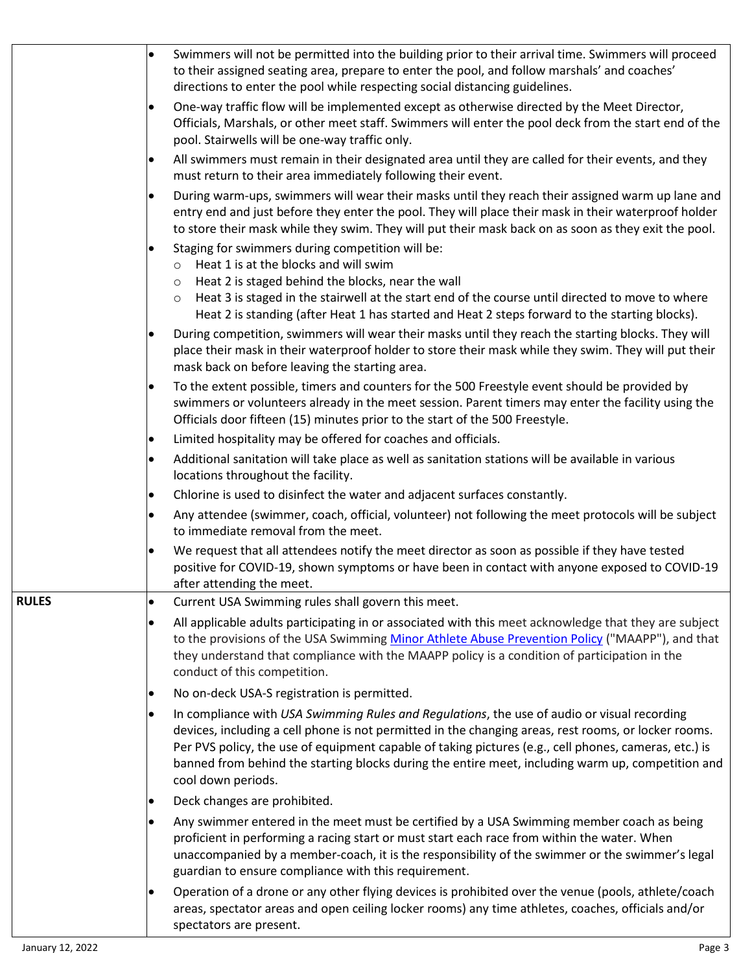|              | Swimmers will not be permitted into the building prior to their arrival time. Swimmers will proceed<br>$\bullet$<br>to their assigned seating area, prepare to enter the pool, and follow marshals' and coaches'<br>directions to enter the pool while respecting social distancing guidelines.                                                                                                                                                      |
|--------------|------------------------------------------------------------------------------------------------------------------------------------------------------------------------------------------------------------------------------------------------------------------------------------------------------------------------------------------------------------------------------------------------------------------------------------------------------|
|              | One-way traffic flow will be implemented except as otherwise directed by the Meet Director,<br>$\bullet$<br>Officials, Marshals, or other meet staff. Swimmers will enter the pool deck from the start end of the<br>pool. Stairwells will be one-way traffic only.                                                                                                                                                                                  |
|              | All swimmers must remain in their designated area until they are called for their events, and they<br>$\bullet$<br>must return to their area immediately following their event.                                                                                                                                                                                                                                                                      |
|              | During warm-ups, swimmers will wear their masks until they reach their assigned warm up lane and<br>$\bullet$<br>entry end and just before they enter the pool. They will place their mask in their waterproof holder<br>to store their mask while they swim. They will put their mask back on as soon as they exit the pool.                                                                                                                        |
|              | Staging for swimmers during competition will be:<br>Heat 1 is at the blocks and will swim<br>$\circ$<br>Heat 2 is staged behind the blocks, near the wall<br>$\circ$                                                                                                                                                                                                                                                                                 |
|              | Heat 3 is staged in the stairwell at the start end of the course until directed to move to where<br>$\circ$<br>Heat 2 is standing (after Heat 1 has started and Heat 2 steps forward to the starting blocks).                                                                                                                                                                                                                                        |
|              | During competition, swimmers will wear their masks until they reach the starting blocks. They will<br>place their mask in their waterproof holder to store their mask while they swim. They will put their<br>mask back on before leaving the starting area.                                                                                                                                                                                         |
|              | To the extent possible, timers and counters for the 500 Freestyle event should be provided by<br>$\bullet$<br>swimmers or volunteers already in the meet session. Parent timers may enter the facility using the<br>Officials door fifteen (15) minutes prior to the start of the 500 Freestyle.                                                                                                                                                     |
|              | Limited hospitality may be offered for coaches and officials.<br>$\bullet$                                                                                                                                                                                                                                                                                                                                                                           |
|              | Additional sanitation will take place as well as sanitation stations will be available in various<br>$\bullet$<br>locations throughout the facility.                                                                                                                                                                                                                                                                                                 |
|              | Chlorine is used to disinfect the water and adjacent surfaces constantly.<br>$\bullet$                                                                                                                                                                                                                                                                                                                                                               |
|              | Any attendee (swimmer, coach, official, volunteer) not following the meet protocols will be subject<br>$\bullet$<br>to immediate removal from the meet.                                                                                                                                                                                                                                                                                              |
|              | We request that all attendees notify the meet director as soon as possible if they have tested<br>$\bullet$<br>positive for COVID-19, shown symptoms or have been in contact with anyone exposed to COVID-19<br>after attending the meet.                                                                                                                                                                                                            |
| <b>RULES</b> | Current USA Swimming rules shall govern this meet.<br>$\bullet$                                                                                                                                                                                                                                                                                                                                                                                      |
|              | All applicable adults participating in or associated with this meet acknowledge that they are subject<br>$\bullet$<br>to the provisions of the USA Swimming Minor Athlete Abuse Prevention Policy ("MAAPP"), and that<br>they understand that compliance with the MAAPP policy is a condition of participation in the<br>conduct of this competition.                                                                                                |
|              | No on-deck USA-S registration is permitted.<br>$\bullet$                                                                                                                                                                                                                                                                                                                                                                                             |
|              | In compliance with USA Swimming Rules and Regulations, the use of audio or visual recording<br>$\bullet$<br>devices, including a cell phone is not permitted in the changing areas, rest rooms, or locker rooms.<br>Per PVS policy, the use of equipment capable of taking pictures (e.g., cell phones, cameras, etc.) is<br>banned from behind the starting blocks during the entire meet, including warm up, competition and<br>cool down periods. |
|              | Deck changes are prohibited.<br>$\bullet$                                                                                                                                                                                                                                                                                                                                                                                                            |
|              | Any swimmer entered in the meet must be certified by a USA Swimming member coach as being<br>$\bullet$<br>proficient in performing a racing start or must start each race from within the water. When<br>unaccompanied by a member-coach, it is the responsibility of the swimmer or the swimmer's legal<br>guardian to ensure compliance with this requirement.                                                                                     |
|              | Operation of a drone or any other flying devices is prohibited over the venue (pools, athlete/coach<br>$\bullet$<br>areas, spectator areas and open ceiling locker rooms) any time athletes, coaches, officials and/or<br>spectators are present.                                                                                                                                                                                                    |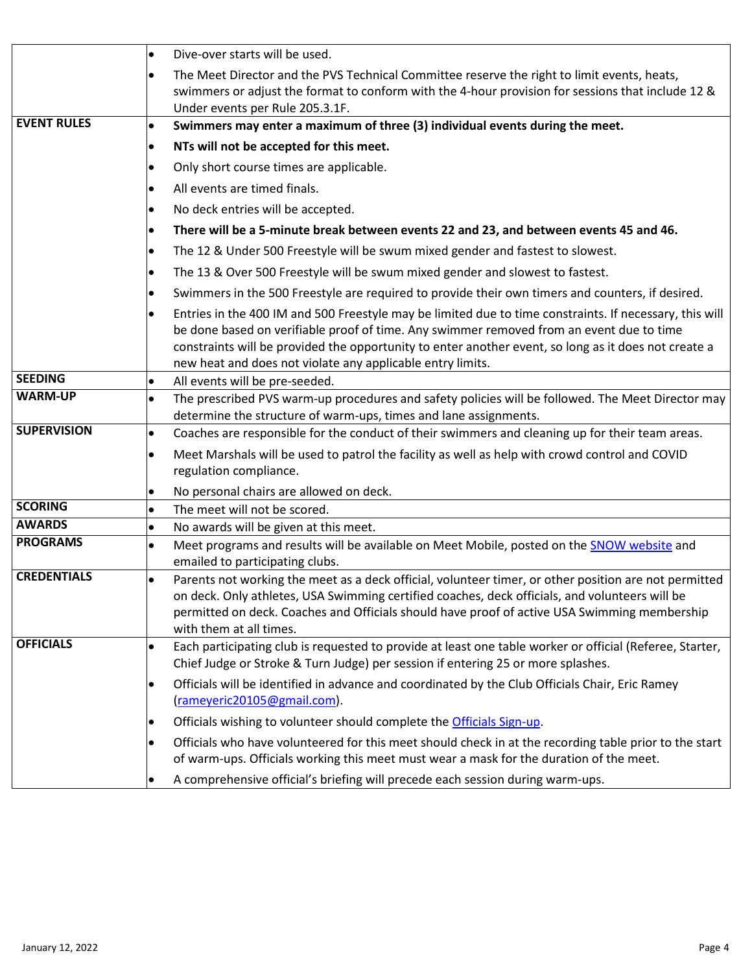|                    | $\bullet$ | Dive-over starts will be used.                                                                                                                                                                                                                                                                                                                                            |  |  |
|--------------------|-----------|---------------------------------------------------------------------------------------------------------------------------------------------------------------------------------------------------------------------------------------------------------------------------------------------------------------------------------------------------------------------------|--|--|
|                    |           | The Meet Director and the PVS Technical Committee reserve the right to limit events, heats,<br>swimmers or adjust the format to conform with the 4-hour provision for sessions that include 12 &<br>Under events per Rule 205.3.1F.                                                                                                                                       |  |  |
| <b>EVENT RULES</b> | $\bullet$ | Swimmers may enter a maximum of three (3) individual events during the meet.                                                                                                                                                                                                                                                                                              |  |  |
|                    |           | NTs will not be accepted for this meet.                                                                                                                                                                                                                                                                                                                                   |  |  |
|                    |           | Only short course times are applicable.                                                                                                                                                                                                                                                                                                                                   |  |  |
|                    |           | All events are timed finals.                                                                                                                                                                                                                                                                                                                                              |  |  |
|                    |           | No deck entries will be accepted.                                                                                                                                                                                                                                                                                                                                         |  |  |
|                    |           | There will be a 5-minute break between events 22 and 23, and between events 45 and 46.                                                                                                                                                                                                                                                                                    |  |  |
|                    |           | The 12 & Under 500 Freestyle will be swum mixed gender and fastest to slowest.                                                                                                                                                                                                                                                                                            |  |  |
|                    |           | The 13 & Over 500 Freestyle will be swum mixed gender and slowest to fastest.                                                                                                                                                                                                                                                                                             |  |  |
|                    |           | Swimmers in the 500 Freestyle are required to provide their own timers and counters, if desired.                                                                                                                                                                                                                                                                          |  |  |
|                    |           | Entries in the 400 IM and 500 Freestyle may be limited due to time constraints. If necessary, this will<br>be done based on verifiable proof of time. Any swimmer removed from an event due to time<br>constraints will be provided the opportunity to enter another event, so long as it does not create a<br>new heat and does not violate any applicable entry limits. |  |  |
| <b>SEEDING</b>     | $\bullet$ | All events will be pre-seeded.                                                                                                                                                                                                                                                                                                                                            |  |  |
| <b>WARM-UP</b>     | $\bullet$ | The prescribed PVS warm-up procedures and safety policies will be followed. The Meet Director may<br>determine the structure of warm-ups, times and lane assignments.                                                                                                                                                                                                     |  |  |
| <b>SUPERVISION</b> | $\bullet$ | Coaches are responsible for the conduct of their swimmers and cleaning up for their team areas.                                                                                                                                                                                                                                                                           |  |  |
|                    |           | Meet Marshals will be used to patrol the facility as well as help with crowd control and COVID<br>regulation compliance.                                                                                                                                                                                                                                                  |  |  |
|                    |           | No personal chairs are allowed on deck.                                                                                                                                                                                                                                                                                                                                   |  |  |
| <b>SCORING</b>     |           | The meet will not be scored.                                                                                                                                                                                                                                                                                                                                              |  |  |
| <b>AWARDS</b>      | $\bullet$ | No awards will be given at this meet.                                                                                                                                                                                                                                                                                                                                     |  |  |
| <b>PROGRAMS</b>    | $\bullet$ | Meet programs and results will be available on Meet Mobile, posted on the SNOW website and<br>emailed to participating clubs.                                                                                                                                                                                                                                             |  |  |
| <b>CREDENTIALS</b> |           | Parents not working the meet as a deck official, volunteer timer, or other position are not permitted<br>on deck. Only athletes, USA Swimming certified coaches, deck officials, and volunteers will be<br>permitted on deck. Coaches and Officials should have proof of active USA Swimming membership<br>with them at all times.                                        |  |  |
| <b>OFFICIALS</b>   | ٠         | Each participating club is requested to provide at least one table worker or official (Referee, Starter,<br>Chief Judge or Stroke & Turn Judge) per session if entering 25 or more splashes.                                                                                                                                                                              |  |  |
|                    | ٠         | Officials will be identified in advance and coordinated by the Club Officials Chair, Eric Ramey<br>(rameyeric20105@gmail.com).                                                                                                                                                                                                                                            |  |  |
|                    |           | Officials wishing to volunteer should complete the Officials Sign-up.                                                                                                                                                                                                                                                                                                     |  |  |
|                    |           | Officials who have volunteered for this meet should check in at the recording table prior to the start<br>of warm-ups. Officials working this meet must wear a mask for the duration of the meet.                                                                                                                                                                         |  |  |
|                    |           | A comprehensive official's briefing will precede each session during warm-ups.                                                                                                                                                                                                                                                                                            |  |  |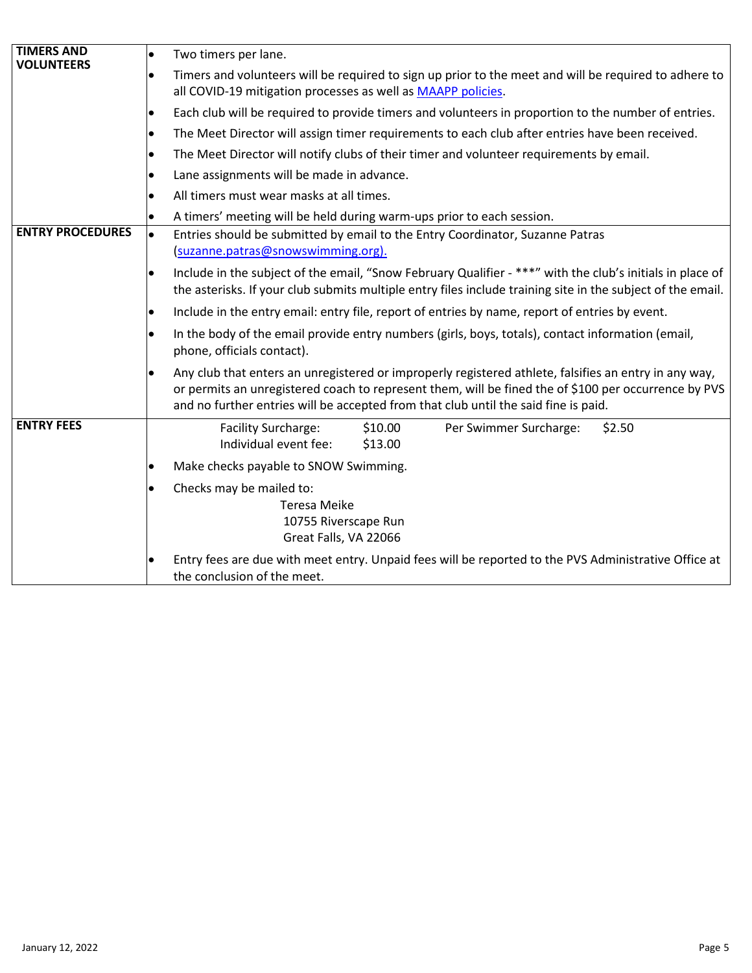| <b>TIMERS AND</b>       | $\bullet$ | Two timers per lane.                                                                                                                                                                                                                                                                                 |  |  |  |  |
|-------------------------|-----------|------------------------------------------------------------------------------------------------------------------------------------------------------------------------------------------------------------------------------------------------------------------------------------------------------|--|--|--|--|
| <b>VOLUNTEERS</b>       | $\bullet$ | Timers and volunteers will be required to sign up prior to the meet and will be required to adhere to<br>all COVID-19 mitigation processes as well as MAAPP policies.                                                                                                                                |  |  |  |  |
|                         | $\bullet$ | Each club will be required to provide timers and volunteers in proportion to the number of entries.                                                                                                                                                                                                  |  |  |  |  |
|                         | $\bullet$ | The Meet Director will assign timer requirements to each club after entries have been received.                                                                                                                                                                                                      |  |  |  |  |
|                         | lo        | The Meet Director will notify clubs of their timer and volunteer requirements by email.                                                                                                                                                                                                              |  |  |  |  |
|                         |           | Lane assignments will be made in advance.                                                                                                                                                                                                                                                            |  |  |  |  |
|                         | $\bullet$ | All timers must wear masks at all times.                                                                                                                                                                                                                                                             |  |  |  |  |
|                         | $\bullet$ | A timers' meeting will be held during warm-ups prior to each session.                                                                                                                                                                                                                                |  |  |  |  |
| <b>ENTRY PROCEDURES</b> | $\bullet$ | Entries should be submitted by email to the Entry Coordinator, Suzanne Patras<br>(suzanne.patras@snowswimming.org).                                                                                                                                                                                  |  |  |  |  |
|                         | $\bullet$ | Include in the subject of the email, "Snow February Qualifier - ***" with the club's initials in place of<br>the asterisks. If your club submits multiple entry files include training site in the subject of the email.                                                                             |  |  |  |  |
|                         | lo        | Include in the entry email: entry file, report of entries by name, report of entries by event.                                                                                                                                                                                                       |  |  |  |  |
|                         |           | In the body of the email provide entry numbers (girls, boys, totals), contact information (email,<br>phone, officials contact).                                                                                                                                                                      |  |  |  |  |
|                         |           | Any club that enters an unregistered or improperly registered athlete, falsifies an entry in any way,<br>or permits an unregistered coach to represent them, will be fined the of \$100 per occurrence by PVS<br>and no further entries will be accepted from that club until the said fine is paid. |  |  |  |  |
| <b>ENTRY FEES</b>       |           | <b>Facility Surcharge:</b><br>\$10.00<br>\$2.50<br>Per Swimmer Surcharge:<br>Individual event fee:<br>\$13.00                                                                                                                                                                                        |  |  |  |  |
|                         |           | Make checks payable to SNOW Swimming.                                                                                                                                                                                                                                                                |  |  |  |  |
|                         |           | Checks may be mailed to:<br><b>Teresa Meike</b><br>10755 Riverscape Run<br>Great Falls, VA 22066                                                                                                                                                                                                     |  |  |  |  |
|                         |           | Entry fees are due with meet entry. Unpaid fees will be reported to the PVS Administrative Office at<br>the conclusion of the meet.                                                                                                                                                                  |  |  |  |  |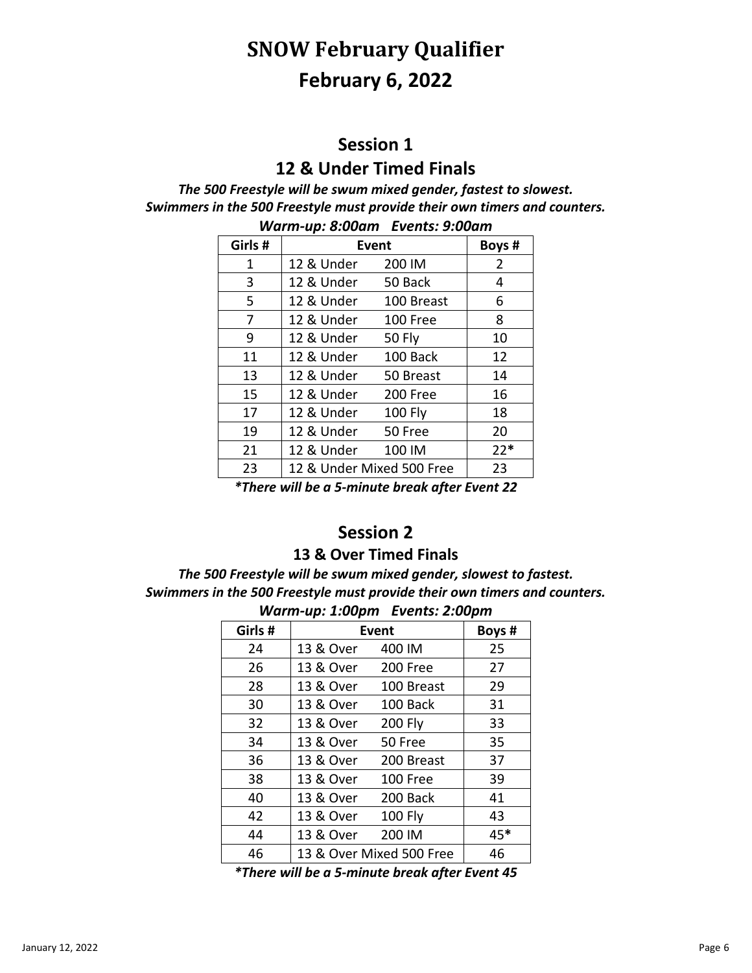# **SNOW February Qualifier February 6, 2022**

## **Session 1**

## **12 & Under Timed Finals**

#### *The 500 Freestyle will be swum mixed gender, fastest to slowest. Swimmers in the 500 Freestyle must provide their own timers and counters.*

| Girls#                                   | <b>Event</b> |                           | Boys # |
|------------------------------------------|--------------|---------------------------|--------|
| 1                                        | 12 & Under   | 200 IM                    | 2      |
| 3                                        | 12 & Under   | 50 Back                   | 4      |
| 5                                        | 12 & Under   | 100 Breast                | 6      |
| 7                                        | 12 & Under   | 100 Free                  | 8      |
| 9                                        | 12 & Under   | <b>50 Fly</b>             | 10     |
| 11                                       | 12 & Under   | 100 Back                  | 12     |
| 13                                       | 12 & Under   | 50 Breast                 | 14     |
| 15                                       | 12 & Under   | 200 Free                  | 16     |
| 17                                       | 12 & Under   | <b>100 Fly</b>            | 18     |
| 19                                       | 12 & Under   | 50 Free                   | 20     |
| 21                                       | 12 & Under   | 100 IM                    | $22*$  |
| 23                                       |              | 12 & Under Mixed 500 Free | 23     |
| * TL<br>ill ha a Eustania huach chean En |              |                           |        |

*Warm-up: 8:00am Events: 9:00am*

*\*There will be a 5-minute break after Event 22*

## **Session 2**

#### **& Over Timed Finals**

*The 500 Freestyle will be swum mixed gender, slowest to fastest. Swimmers in the 500 Freestyle must provide their own timers and counters.*

| Girls #<br>Event<br>13 & Over<br>400 IM<br>24 | Boys #<br>25 |
|-----------------------------------------------|--------------|
|                                               |              |
|                                               |              |
| 13 & Over<br>26<br>200 Free                   | 27           |
| 13 & Over<br>28<br>100 Breast                 | 29           |
| 13 & Over<br>100 Back<br>30                   | 31           |
| 13 & Over<br><b>200 Fly</b><br>32             | 33           |
| 13 & Over<br>34<br>50 Free                    | 35           |
| 36<br>13 & Over<br>200 Breast                 | 37           |
| 13 & Over<br>38<br>100 Free                   | 39           |
| 13 & Over<br>200 Back<br>40                   | 41           |
| 13 & Over<br><b>100 Fly</b><br>42             | 43           |
| 200 IM<br>13 & Over<br>44                     | 45*          |
| 13 & Over Mixed 500 Free<br>46                | 46           |

#### *Warm-up: 1:00pm Events: 2:00pm*

*\*There will be a 5-minute break after Event 45*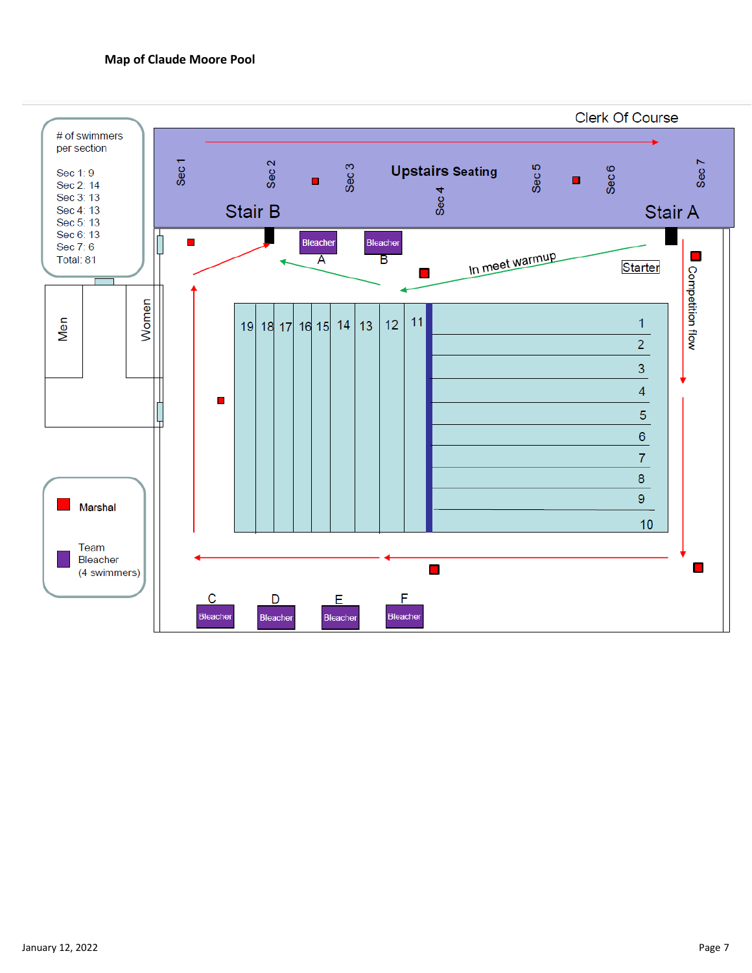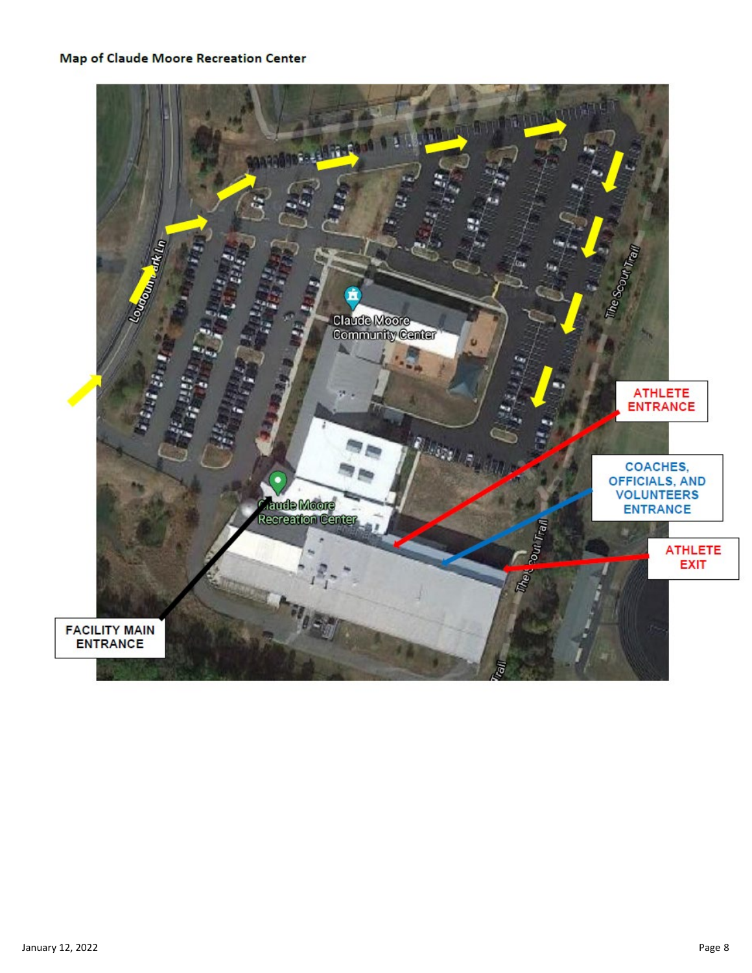#### Map of Claude Moore Recreation Center

![](_page_7_Picture_1.jpeg)